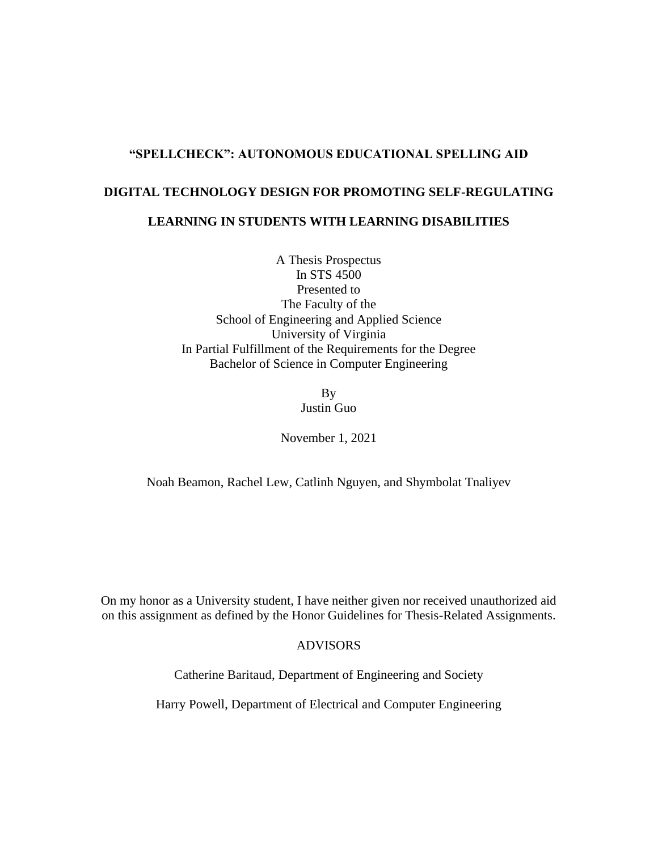### **"SPELLCHECK": AUTONOMOUS EDUCATIONAL SPELLING AID**

# **DIGITAL TECHNOLOGY DESIGN FOR PROMOTING SELF-REGULATING LEARNING IN STUDENTS WITH LEARNING DISABILITIES**

A Thesis Prospectus In STS 4500 Presented to The Faculty of the School of Engineering and Applied Science University of Virginia In Partial Fulfillment of the Requirements for the Degree Bachelor of Science in Computer Engineering

> By Justin Guo

November 1, 2021

Noah Beamon, Rachel Lew, Catlinh Nguyen, and Shymbolat Tnaliyev

On my honor as a University student, I have neither given nor received unauthorized aid on this assignment as defined by the Honor Guidelines for Thesis-Related Assignments.

## ADVISORS

Catherine Baritaud, Department of Engineering and Society

Harry Powell, Department of Electrical and Computer Engineering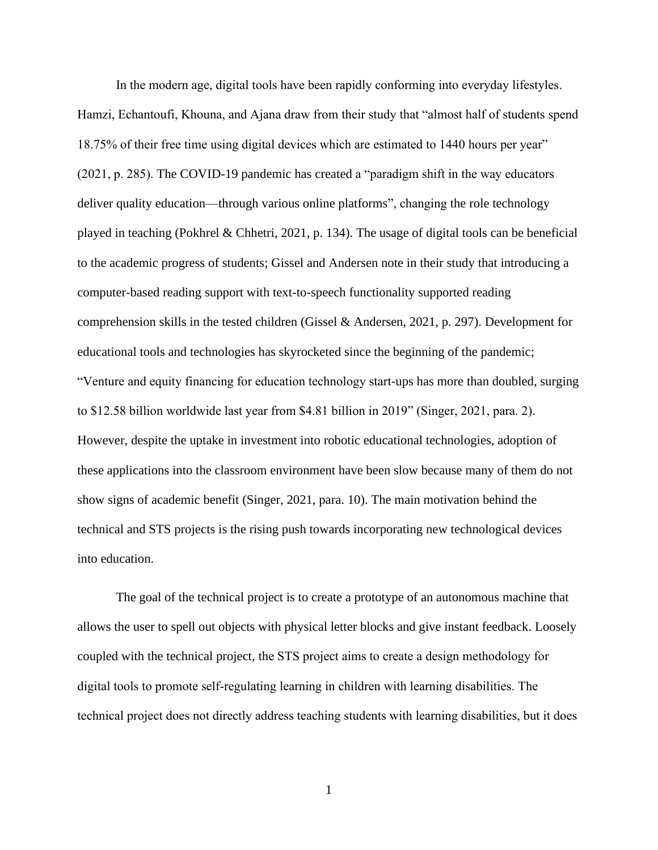In the modern age, digital tools have been rapidly conforming into everyday lifestyles. Hamzi, Echantoufi, Khouna, and Ajana draw from their study that "almost half of students spend 18.75% of their free time using digital devices which are estimated to 1440 hours per year" (2021, p. 285). The COVID-19 pandemic has created a "paradigm shift in the way educators deliver quality education—through various online platforms", changing the role technology played in teaching (Pokhrel & Chhetri, 2021, p. 134). The usage of digital tools can be beneficial to the academic progress of students; Gissel and Andersen note in their study that introducing a computer-based reading support with text-to-speech functionality supported reading comprehension skills in the tested children (Gissel & Andersen, 2021, p. 297). Development for educational tools and technologies has skyrocketed since the beginning of the pandemic; "Venture and equity financing for education technology start-ups has more than doubled, surging to \$12.58 billion worldwide last year from \$4.81 billion in 2019" (Singer, 2021, para. 2). However, despite the uptake in investment into robotic educational technologies, adoption of these applications into the classroom environment have been slow because many of them do not show signs of academic benefit (Singer, 2021, para. 10). The main motivation behind the technical and STS projects is the rising push towards incorporating new technological devices into education.

The goal of the technical project is to create a prototype of an autonomous machine that allows the user to spell out objects with physical letter blocks and give instant feedback. Loosely coupled with the technical project, the STS project aims to create a design methodology for digital tools to promote self-regulating learning in children with learning disabilities. The technical project does not directly address teaching students with learning disabilities, but it does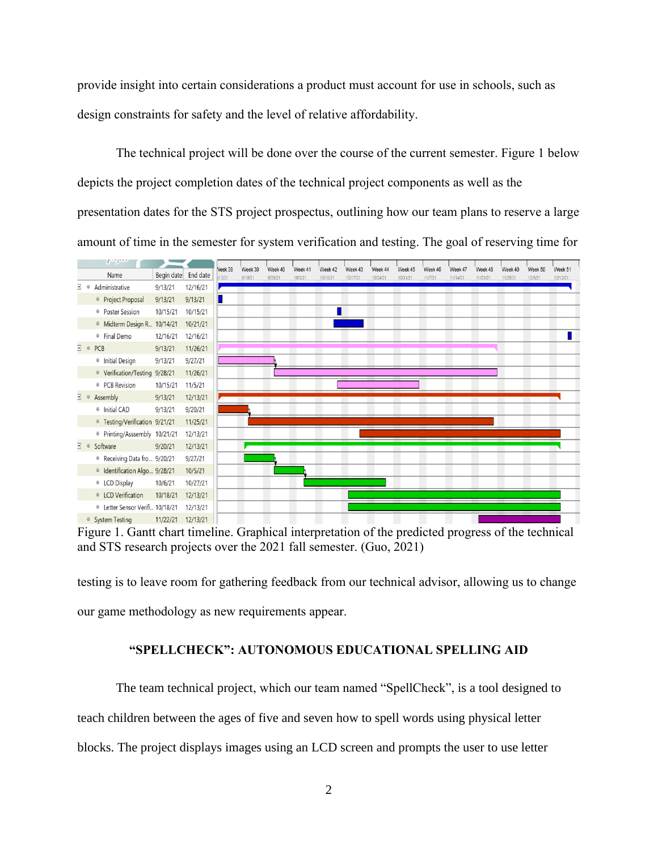provide insight into certain considerations a product must account for use in schools, such as design constraints for safety and the level of relative affordability.

The technical project will be done over the course of the current semester. Figure 1 below depicts the project completion dates of the technical project components as well as the presentation dates for the STS project prospectus, outlining how our team plans to reserve a large amount of time in the semester for system verification and testing. The goal of reserving time for



Figure 1. Gantt chart timeline. Graphical interpretation of the predicted progress of the technical and STS research projects over the 2021 fall semester. (Guo, 2021)

testing is to leave room for gathering feedback from our technical advisor, allowing us to change our game methodology as new requirements appear.

### **"SPELLCHECK": AUTONOMOUS EDUCATIONAL SPELLING AID**

The team technical project, which our team named "SpellCheck", is a tool designed to teach children between the ages of five and seven how to spell words using physical letter blocks. The project displays images using an LCD screen and prompts the user to use letter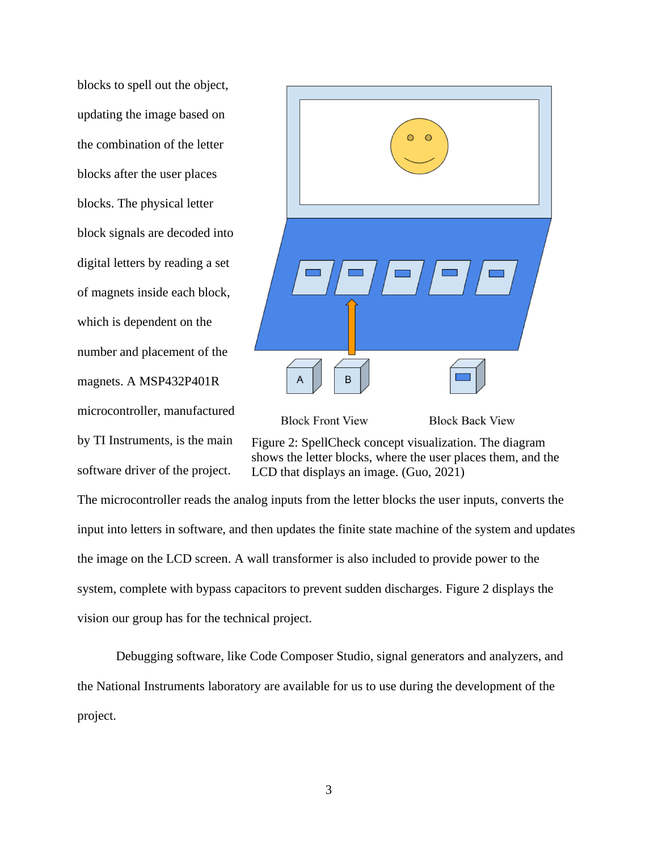blocks to spell out the object, updating the image based on the combination of the letter blocks after the user places blocks. The physical letter block signals are decoded into digital letters by reading a set of magnets inside each block, which is dependent on the number and placement of the magnets. A MSP432P401R microcontroller, manufactured by TI Instruments, is the main software driver of the project.



**Block Front View** 

**Block Back View** 

Figure 2: SpellCheck concept visualization. The diagram shows the letter blocks, where the user places them, and the LCD that displays an image. (Guo, 2021)

The microcontroller reads the analog inputs from the letter blocks the user inputs, converts the input into letters in software, and then updates the finite state machine of the system and updates the image on the LCD screen. A wall transformer is also included to provide power to the system, complete with bypass capacitors to prevent sudden discharges. Figure 2 displays the vision our group has for the technical project.

Debugging software, like Code Composer Studio, signal generators and analyzers, and the National Instruments laboratory are available for us to use during the development of the project.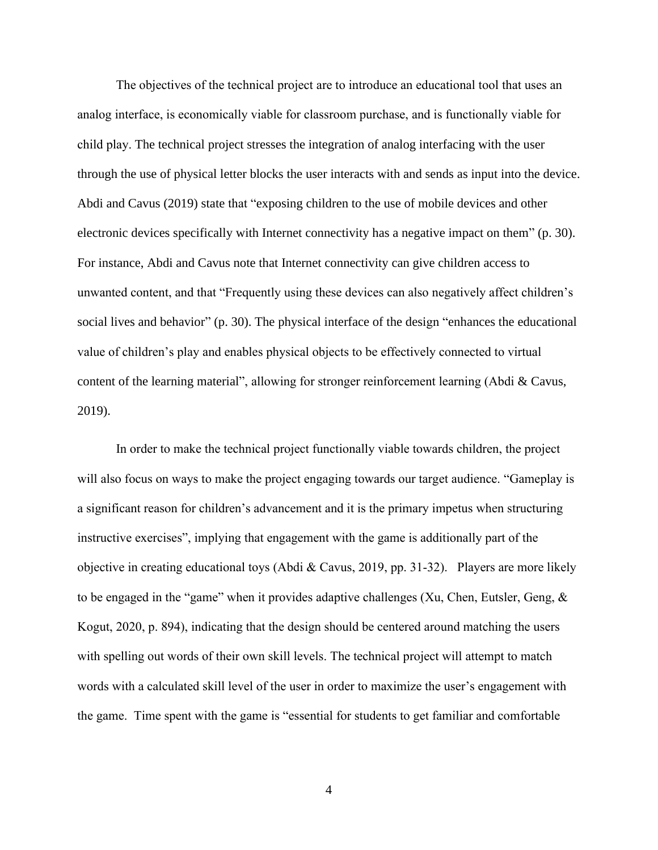The objectives of the technical project are to introduce an educational tool that uses an analog interface, is economically viable for classroom purchase, and is functionally viable for child play. The technical project stresses the integration of analog interfacing with the user through the use of physical letter blocks the user interacts with and sends as input into the device. Abdi and Cavus (2019) state that "exposing children to the use of mobile devices and other electronic devices specifically with Internet connectivity has a negative impact on them" (p. 30). For instance, Abdi and Cavus note that Internet connectivity can give children access to unwanted content, and that "Frequently using these devices can also negatively affect children's social lives and behavior" (p. 30). The physical interface of the design "enhances the educational value of children's play and enables physical objects to be effectively connected to virtual content of the learning material", allowing for stronger reinforcement learning (Abdi & Cavus, 2019).

In order to make the technical project functionally viable towards children, the project will also focus on ways to make the project engaging towards our target audience. "Gameplay is a significant reason for children's advancement and it is the primary impetus when structuring instructive exercises", implying that engagement with the game is additionally part of the objective in creating educational toys (Abdi & Cavus, 2019, pp. 31-32). Players are more likely to be engaged in the "game" when it provides adaptive challenges (Xu, Chen, Eutsler, Geng,  $\&$ Kogut, 2020, p. 894), indicating that the design should be centered around matching the users with spelling out words of their own skill levels. The technical project will attempt to match words with a calculated skill level of the user in order to maximize the user's engagement with the game. Time spent with the game is "essential for students to get familiar and comfortable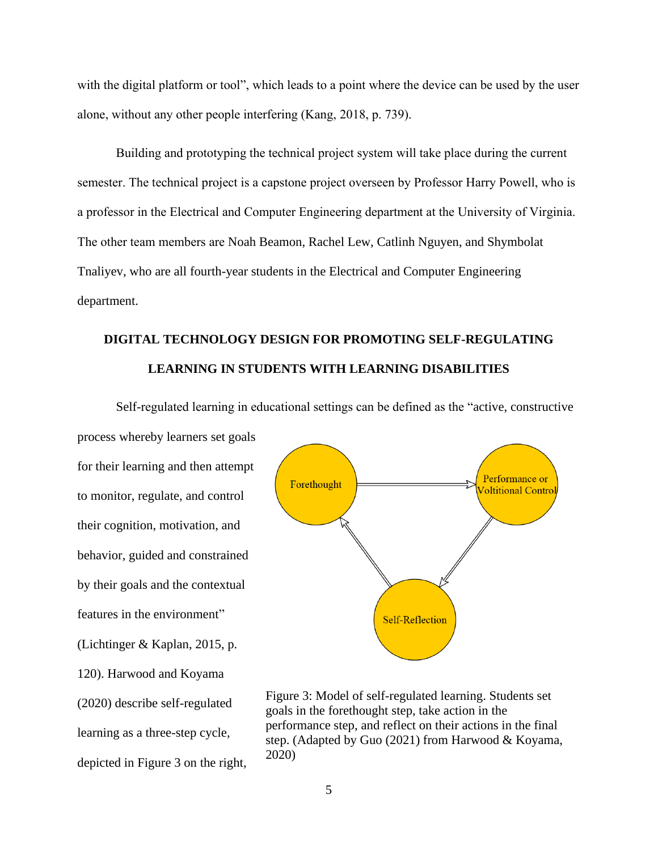with the digital platform or tool", which leads to a point where the device can be used by the user alone, without any other people interfering (Kang, 2018, p. 739).

Building and prototyping the technical project system will take place during the current semester. The technical project is a capstone project overseen by Professor Harry Powell, who is a professor in the Electrical and Computer Engineering department at the University of Virginia. The other team members are Noah Beamon, Rachel Lew, Catlinh Nguyen, and Shymbolat Tnaliyev, who are all fourth-year students in the Electrical and Computer Engineering department.

# **DIGITAL TECHNOLOGY DESIGN FOR PROMOTING SELF-REGULATING LEARNING IN STUDENTS WITH LEARNING DISABILITIES**

Self-regulated learning in educational settings can be defined as the "active, constructive

process whereby learners set goals for their learning and then attempt to monitor, regulate, and control their cognition, motivation, and behavior, guided and constrained by their goals and the contextual features in the environment" (Lichtinger & Kaplan, 2015, p. 120). Harwood and Koyama (2020) describe self-regulated learning as a three-step cycle, depicted in Figure 3 on the right,



Figure 3: Model of self-regulated learning. Students set goals in the forethought step, take action in the performance step, and reflect on their actions in the final step. (Adapted by Guo (2021) from Harwood & Koyama, 2020)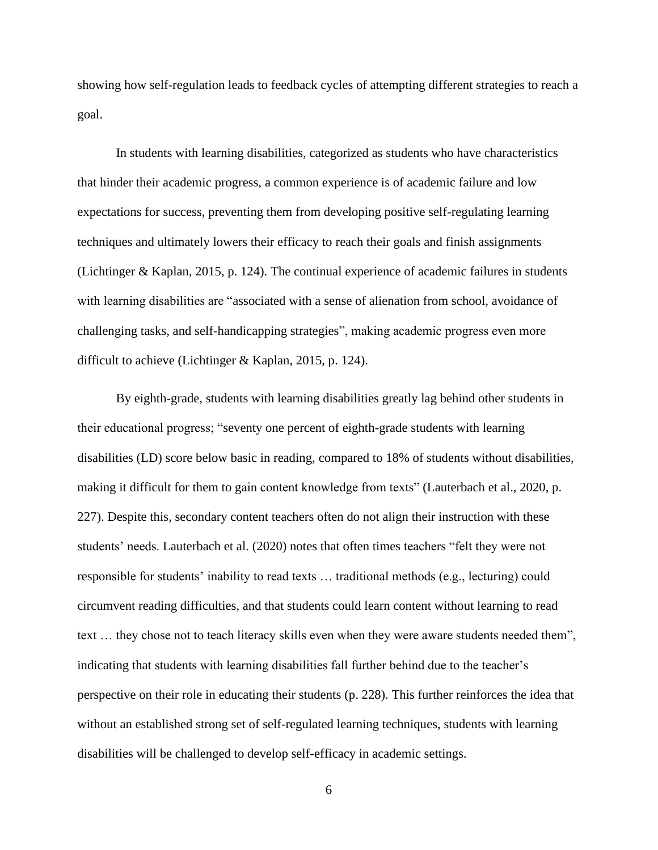showing how self-regulation leads to feedback cycles of attempting different strategies to reach a goal.

In students with learning disabilities, categorized as students who have characteristics that hinder their academic progress, a common experience is of academic failure and low expectations for success, preventing them from developing positive self-regulating learning techniques and ultimately lowers their efficacy to reach their goals and finish assignments (Lichtinger & Kaplan, 2015, p. 124). The continual experience of academic failures in students with learning disabilities are "associated with a sense of alienation from school, avoidance of challenging tasks, and self-handicapping strategies", making academic progress even more difficult to achieve (Lichtinger & Kaplan, 2015, p. 124).

By eighth-grade, students with learning disabilities greatly lag behind other students in their educational progress; "seventy one percent of eighth-grade students with learning disabilities (LD) score below basic in reading, compared to 18% of students without disabilities, making it difficult for them to gain content knowledge from texts" (Lauterbach et al., 2020, p. 227). Despite this, secondary content teachers often do not align their instruction with these students' needs. Lauterbach et al. (2020) notes that often times teachers "felt they were not responsible for students' inability to read texts … traditional methods (e.g., lecturing) could circumvent reading difficulties, and that students could learn content without learning to read text … they chose not to teach literacy skills even when they were aware students needed them", indicating that students with learning disabilities fall further behind due to the teacher's perspective on their role in educating their students (p. 228). This further reinforces the idea that without an established strong set of self-regulated learning techniques, students with learning disabilities will be challenged to develop self-efficacy in academic settings.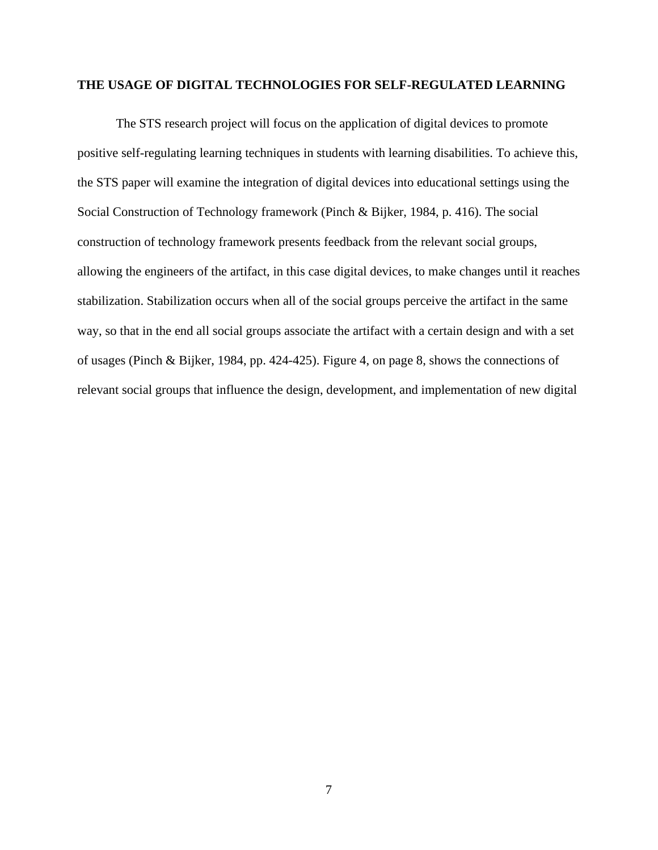#### **THE USAGE OF DIGITAL TECHNOLOGIES FOR SELF-REGULATED LEARNING**

The STS research project will focus on the application of digital devices to promote positive self-regulating learning techniques in students with learning disabilities. To achieve this, the STS paper will examine the integration of digital devices into educational settings using the Social Construction of Technology framework (Pinch & Bijker, 1984, p. 416). The social construction of technology framework presents feedback from the relevant social groups, allowing the engineers of the artifact, in this case digital devices, to make changes until it reaches stabilization. Stabilization occurs when all of the social groups perceive the artifact in the same way, so that in the end all social groups associate the artifact with a certain design and with a set of usages (Pinch & Bijker, 1984, pp. 424-425). Figure 4, on page 8, shows the connections of relevant social groups that influence the design, development, and implementation of new digital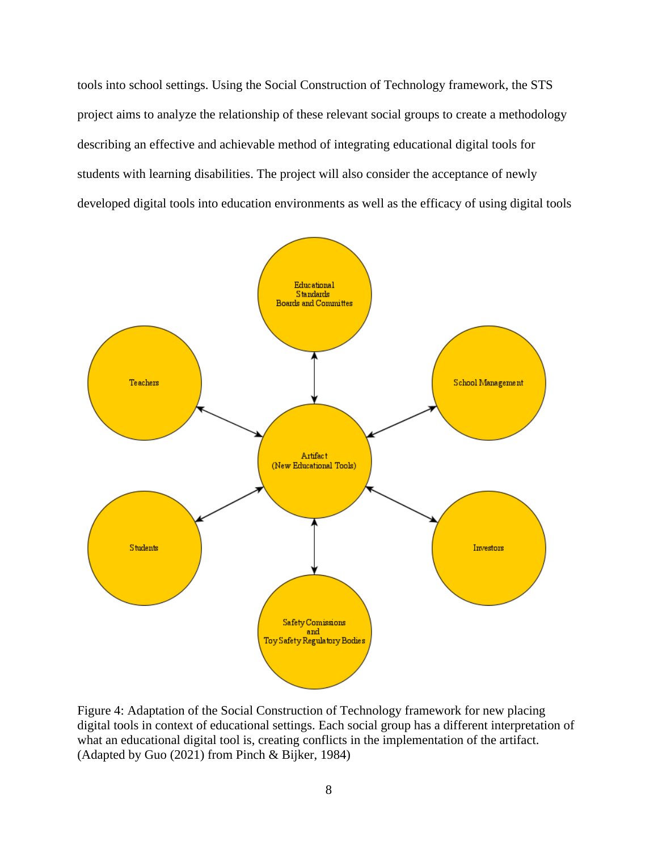tools into school settings. Using the Social Construction of Technology framework, the STS project aims to analyze the relationship of these relevant social groups to create a methodology describing an effective and achievable method of integrating educational digital tools for students with learning disabilities. The project will also consider the acceptance of newly developed digital tools into education environments as well as the efficacy of using digital tools



Figure 4: Adaptation of the Social Construction of Technology framework for new placing digital tools in context of educational settings. Each social group has a different interpretation of what an educational digital tool is, creating conflicts in the implementation of the artifact. (Adapted by Guo (2021) from Pinch & Bijker, 1984)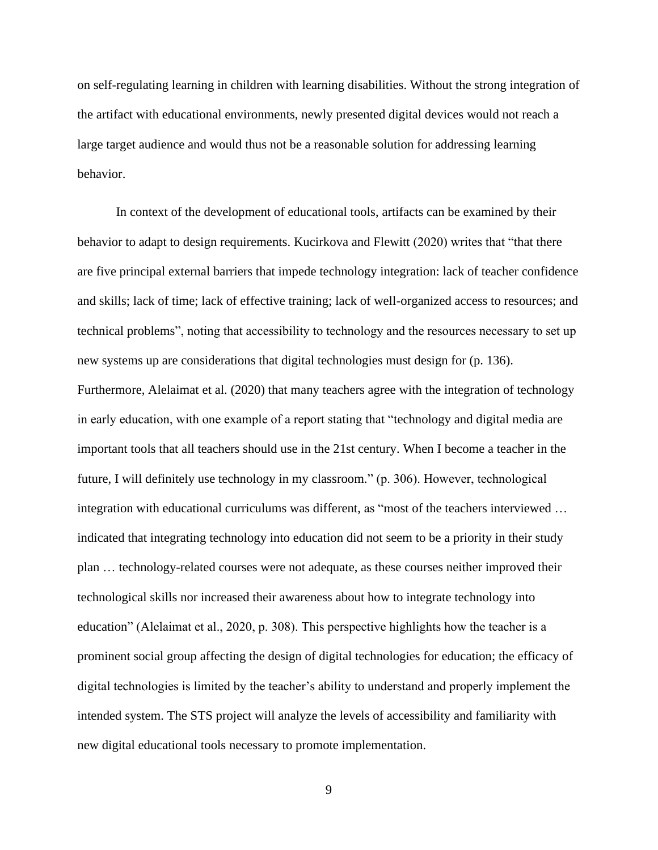on self-regulating learning in children with learning disabilities. Without the strong integration of the artifact with educational environments, newly presented digital devices would not reach a large target audience and would thus not be a reasonable solution for addressing learning behavior.

In context of the development of educational tools, artifacts can be examined by their behavior to adapt to design requirements. Kucirkova and Flewitt (2020) writes that "that there are five principal external barriers that impede technology integration: lack of teacher confidence and skills; lack of time; lack of effective training; lack of well-organized access to resources; and technical problems", noting that accessibility to technology and the resources necessary to set up new systems up are considerations that digital technologies must design for (p. 136). Furthermore, Alelaimat et al. (2020) that many teachers agree with the integration of technology in early education, with one example of a report stating that "technology and digital media are important tools that all teachers should use in the 21st century. When I become a teacher in the future, I will definitely use technology in my classroom." (p. 306). However, technological integration with educational curriculums was different, as "most of the teachers interviewed … indicated that integrating technology into education did not seem to be a priority in their study plan … technology-related courses were not adequate, as these courses neither improved their technological skills nor increased their awareness about how to integrate technology into education" (Alelaimat et al., 2020, p. 308). This perspective highlights how the teacher is a prominent social group affecting the design of digital technologies for education; the efficacy of digital technologies is limited by the teacher's ability to understand and properly implement the intended system. The STS project will analyze the levels of accessibility and familiarity with new digital educational tools necessary to promote implementation.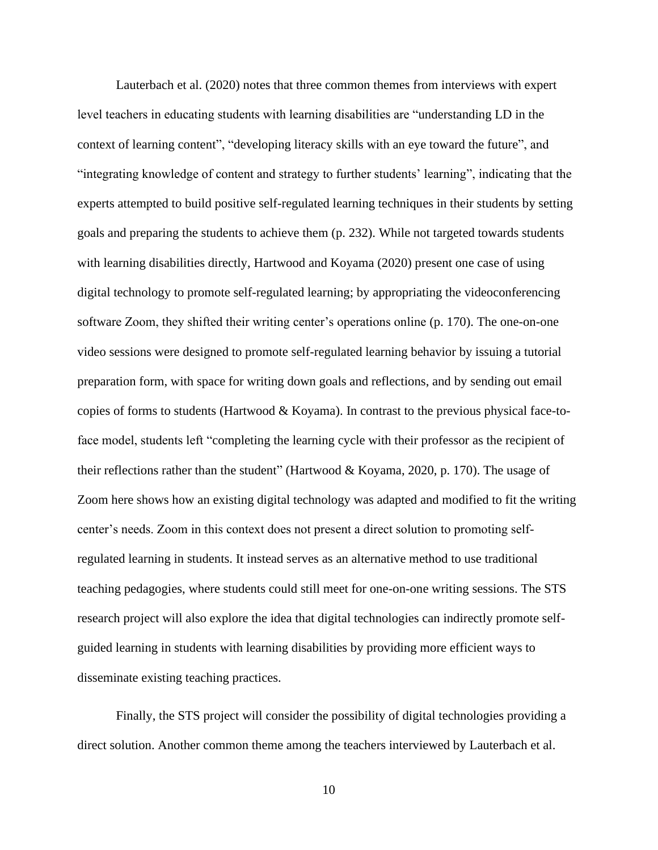Lauterbach et al. (2020) notes that three common themes from interviews with expert level teachers in educating students with learning disabilities are "understanding LD in the context of learning content", "developing literacy skills with an eye toward the future", and "integrating knowledge of content and strategy to further students' learning", indicating that the experts attempted to build positive self-regulated learning techniques in their students by setting goals and preparing the students to achieve them (p. 232). While not targeted towards students with learning disabilities directly, Hartwood and Koyama (2020) present one case of using digital technology to promote self-regulated learning; by appropriating the videoconferencing software Zoom, they shifted their writing center's operations online (p. 170). The one-on-one video sessions were designed to promote self-regulated learning behavior by issuing a tutorial preparation form, with space for writing down goals and reflections, and by sending out email copies of forms to students (Hartwood  $&$  Koyama). In contrast to the previous physical face-toface model, students left "completing the learning cycle with their professor as the recipient of their reflections rather than the student" (Hartwood & Koyama, 2020, p. 170). The usage of Zoom here shows how an existing digital technology was adapted and modified to fit the writing center's needs. Zoom in this context does not present a direct solution to promoting selfregulated learning in students. It instead serves as an alternative method to use traditional teaching pedagogies, where students could still meet for one-on-one writing sessions. The STS research project will also explore the idea that digital technologies can indirectly promote selfguided learning in students with learning disabilities by providing more efficient ways to disseminate existing teaching practices.

Finally, the STS project will consider the possibility of digital technologies providing a direct solution. Another common theme among the teachers interviewed by Lauterbach et al.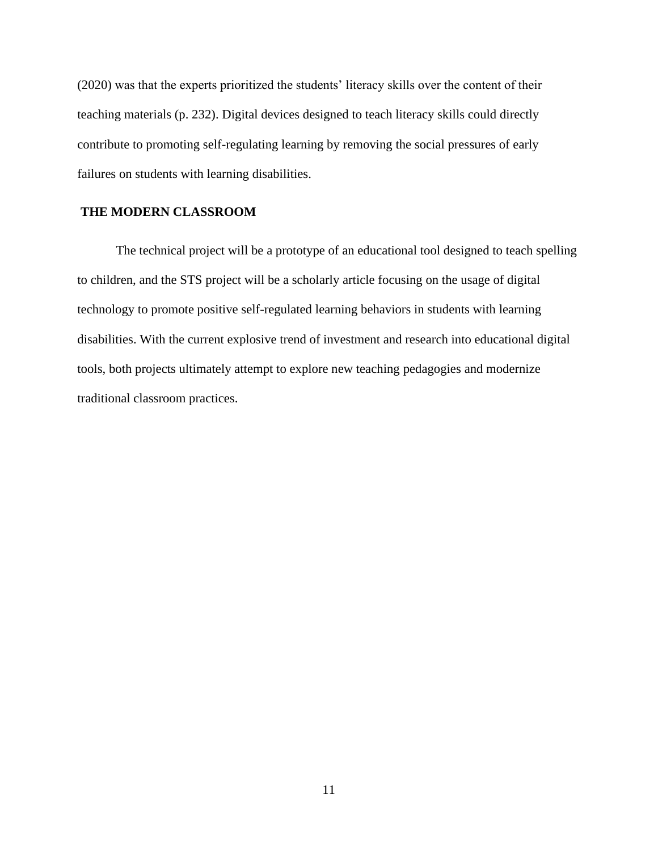(2020) was that the experts prioritized the students' literacy skills over the content of their teaching materials (p. 232). Digital devices designed to teach literacy skills could directly contribute to promoting self-regulating learning by removing the social pressures of early failures on students with learning disabilities.

## **THE MODERN CLASSROOM**

The technical project will be a prototype of an educational tool designed to teach spelling to children, and the STS project will be a scholarly article focusing on the usage of digital technology to promote positive self-regulated learning behaviors in students with learning disabilities. With the current explosive trend of investment and research into educational digital tools, both projects ultimately attempt to explore new teaching pedagogies and modernize traditional classroom practices.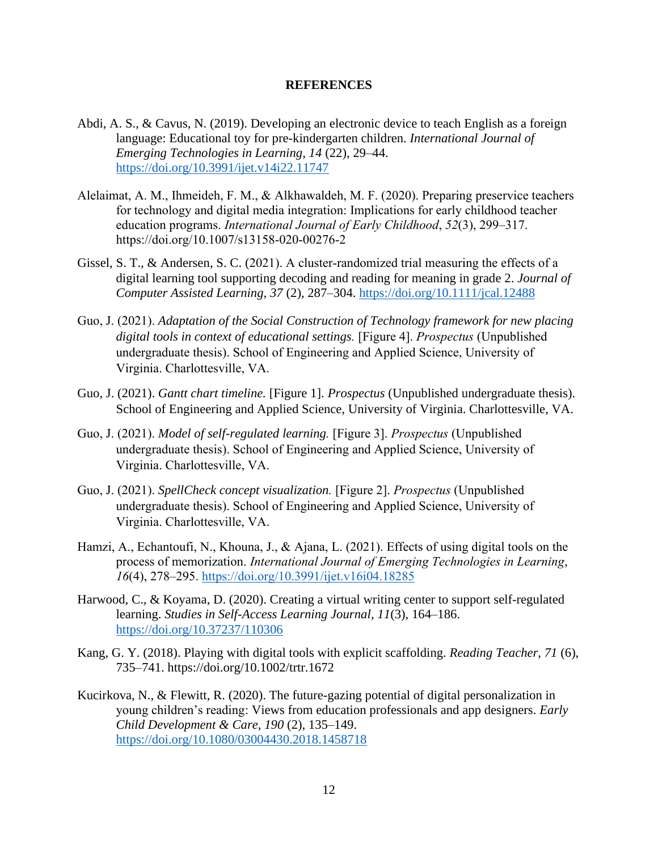#### **REFERENCES**

- Abdi, A. S., & Cavus, N. (2019). Developing an electronic device to teach English as a foreign language: Educational toy for pre-kindergarten children. *International Journal of Emerging Technologies in Learning, 14* (22), 29–44. <https://doi.org/10.3991/ijet.v14i22.11747>
- Alelaimat, A. M., Ihmeideh, F. M., & Alkhawaldeh, M. F. (2020). Preparing preservice teachers for technology and digital media integration: Implications for early childhood teacher education programs. *International Journal of Early Childhood*, *52*(3), 299–317. https://doi.org/10.1007/s13158-020-00276-2
- Gissel, S. T., & Andersen, S. C.  $(2021)$ . A cluster-randomized trial measuring the effects of a digital learning tool supporting decoding and reading for meaning in grade 2. *Journal of Computer Assisted Learning, 37* (2), 287–304.<https://doi.org/10.1111/jcal.12488>
- Guo, J. (2021). *Adaptation of the Social Construction of Technology framework for new placing digital tools in context of educational settings.* [Figure 4]. *Prospectus* (Unpublished undergraduate thesis). School of Engineering and Applied Science, University of Virginia. Charlottesville, VA.
- Guo, J. (2021). *Gantt chart timeline.* [Figure 1]. *Prospectus* (Unpublished undergraduate thesis). School of Engineering and Applied Science, University of Virginia. Charlottesville, VA.
- Guo, J. (2021). *Model of self-regulated learning.* [Figure 3]. *Prospectus* (Unpublished undergraduate thesis). School of Engineering and Applied Science, University of Virginia. Charlottesville, VA.
- Guo, J. (2021). *SpellCheck concept visualization.* [Figure 2]. *Prospectus* (Unpublished undergraduate thesis). School of Engineering and Applied Science, University of Virginia. Charlottesville, VA.
- Hamzi, A., Echantoufi, N., Khouna, J., & Ajana, L. (2021). Effects of using digital tools on the process of memorization. *International Journal of Emerging Technologies in Learning*, *16*(4), 278–295.<https://doi.org/10.3991/ijet.v16i04.18285>
- Harwood, C., & Koyama, D. (2020). Creating a virtual writing center to support self-regulated learning. *Studies in Self-Access Learning Journal, 11*(3), 164–186. <https://doi.org/10.37237/110306>
- Kang, G. Y. (2018). Playing with digital tools with explicit scaffolding. *Reading Teacher, 71* (6), 735–741. https://doi.org/10.1002/trtr.1672
- Kucirkova, N., & Flewitt, R. (2020). The future-gazing potential of digital personalization in young children's reading: Views from education professionals and app designers. *Early Child Development & Care, 190* (2), 135–149. <https://doi.org/10.1080/03004430.2018.1458718>